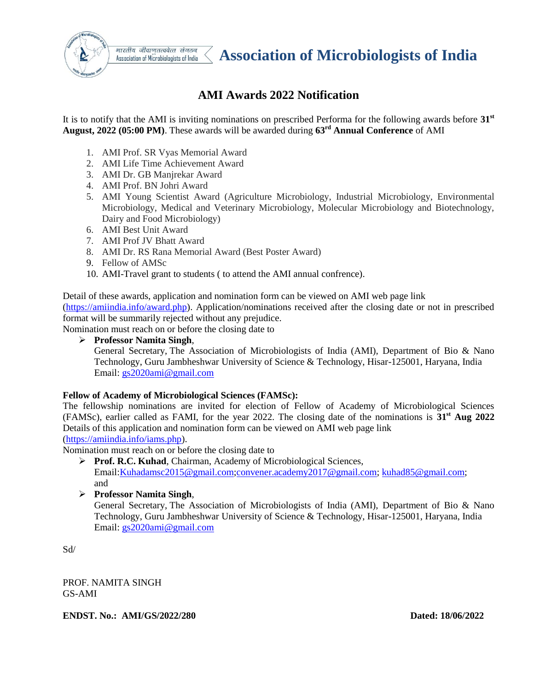

भारतीय जीवाणतत्ववेत्त संगठन Association of Microbiologists of India

# **AMI Awards 2022 Notification**

It is to notify that the AMI is inviting nominations on prescribed Performa for the following awards before **31st August, 2022 (05:00 PM)**. These awards will be awarded during **63rd Annual Conference** of AMI

- 1. AMI Prof. SR Vyas Memorial Award
- 2. AMI Life Time Achievement Award
- 3. AMI Dr. GB Manjrekar Award
- 4. AMI Prof. BN Johri Award
- 5. AMI Young Scientist Award (Agriculture Microbiology, Industrial Microbiology, Environmental Microbiology, Medical and Veterinary Microbiology, Molecular Microbiology and Biotechnology, Dairy and Food Microbiology)
- 6. AMI Best Unit Award
- 7. AMI Prof JV Bhatt Award
- 8. AMI Dr. RS Rana Memorial Award (Best Poster Award)
- 9. Fellow of AMSc
- 10. AMI-Travel grant to students ( to attend the AMI annual confrence).

Detail of these awards, application and nomination form can be viewed on AMI web page link [\(https://amiindia.info/award.php\)](https://amiindia.info/award.php). Application/nominations received after the closing date or not in prescribed format will be summarily rejected without any prejudice.

Nomination must reach on or before the closing date to

**Professor Namita Singh**,

General Secretary, The Association of Microbiologists of India (AMI), Department of Bio & Nano Technology, Guru Jambheshwar University of Science & Technology, Hisar-125001, Haryana, India Email: [gs2020ami@gmail.com](mailto:gs2020ami@gmail.com)

#### **Fellow of Academy of Microbiological Sciences (FAMSc):**

The fellowship nominations are invited for election of Fellow of Academy of Microbiological Sciences (FAMSc), earlier called as FAMI, for the year 2022. The closing date of the nominations is **31st Aug 2022**  Details of this application and nomination form can be viewed on AMI web page link [\(https://amiindia.info/iams.php\)](https://amiindia.info/iams.php).

Nomination must reach on or before the closing date to

- **Prof. R.C. Kuhad**, Chairman, Academy of Microbiological Sciences, Email[:Kuhadamsc2015@gmail.com](mailto:Kuhadamsc2015@gmail.com)[;convener.academy2017@gmail.com;](mailto:convener.academy2017@gmail.com) [kuhad85@gmail.com;](mailto:kuhad85@gmail.com) and
- **Professor Namita Singh**,

General Secretary, The Association of Microbiologists of India (AMI), Department of Bio & Nano Technology, Guru Jambheshwar University of Science & Technology, Hisar-125001, Haryana, India Email: [gs2020ami@gmail.com](mailto:gs2020ami@gmail.com)

Sd/

PROF. NAMITA SINGH GS-AMI

**ENDST. No.: AMI/GS/2022/280 Dated: 18/06/2022**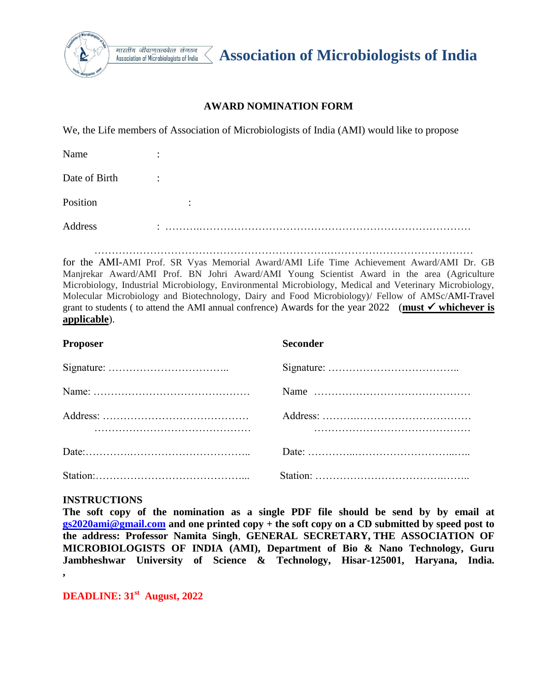

भारतीय जीवाणतत्ववेत्त संगठन Association of Microbiologists of India

**Association of Microbiologists of India** 

### **AWARD NOMINATION FORM**

We, the Life members of Association of Microbiologists of India (AMI) would like to propose

| Name          | ٠                    |
|---------------|----------------------|
| Date of Birth | $\ddot{\phantom{a}}$ |
| Position      | $\bullet$            |
| Address       |                      |

………………………………………………………….……………………………………

for the AMI-AMI Prof. SR Vyas Memorial Award/AMI Life Time Achievement Award/AMI Dr. GB Manjrekar Award/AMI Prof. BN Johri Award/AMI Young Scientist Award in the area (Agriculture Microbiology, Industrial Microbiology, Environmental Microbiology, Medical and Veterinary Microbiology, Molecular Microbiology and Biotechnology, Dairy and Food Microbiology)/ Fellow of AMSc/AMI-Travel grant to students ( to attend the AMI annual confrence) Awards for the year  $2022$  (must  $\checkmark$  whichever is **applicable**).

| <b>Proposer</b> | <b>Seconder</b> |
|-----------------|-----------------|
|                 |                 |
|                 |                 |
|                 |                 |
|                 |                 |
|                 |                 |

### **INSTRUCTIONS**

**The soft copy of the nomination as a single PDF file should be send by by email at [gs2020ami@gmail.com](mailto:gs2020ami@gmail.com) and one printed copy + the soft copy on a CD submitted by speed post to the address: Professor Namita Singh**, **GENERAL SECRETARY, THE ASSOCIATION OF MICROBIOLOGISTS OF INDIA (AMI), Department of Bio & Nano Technology, Guru Jambheshwar University of Science & Technology, Hisar-125001, Haryana, India. ,** 

**DEADLINE: 31st August, 2022**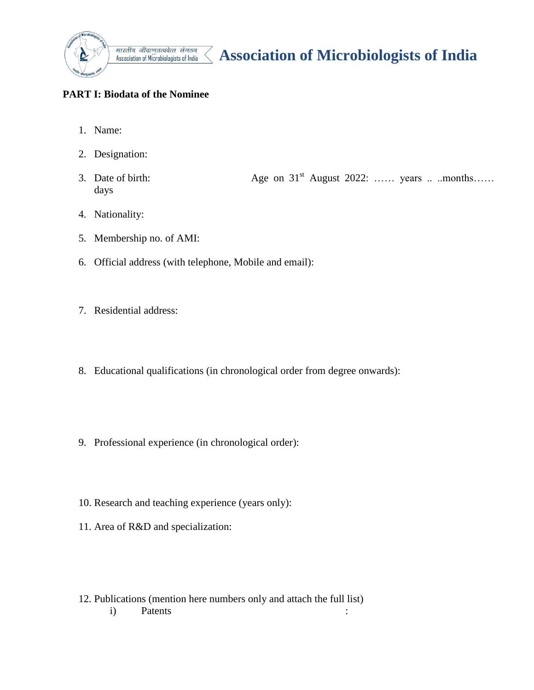

# **Association of Microbiologists of India**

## **PART I: Biodata of the Nominee**

- 1. Name:
- 2. Designation:
- 3. Date of birth:  $\qquad \qquad \text{Age on } 31^{\text{st}}$  August 2022: ...... years ... ..months...... days
- 4. Nationality:
- 5. Membership no. of AMI:
- 6. Official address (with telephone, Mobile and email):

 $\langle$ 

- 7. Residential address:
- 8. Educational qualifications (in chronological order from degree onwards):
- 9. Professional experience (in chronological order):
- 10. Research and teaching experience (years only):
- 11. Area of R&D and specialization:
- 12. Publications (mention here numbers only and attach the full list) i) Patents :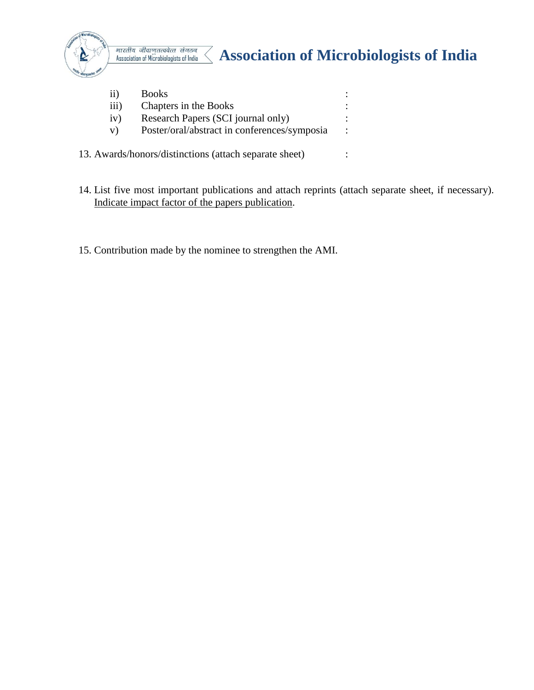

# *Association of Microbiologists of India*<br>Association of Microbiologists of India

| 11)              | <b>Books</b>                                           |           |
|------------------|--------------------------------------------------------|-----------|
| $\overline{iii}$ | Chapters in the Books                                  |           |
| iv)              | Research Papers (SCI journal only)                     |           |
| V)               | Poster/oral/abstract in conferences/symposia           | $\bullet$ |
|                  | 13. Awards/honors/distinctions (attach separate sheet) |           |

- 14. List five most important publications and attach reprints (attach separate sheet, if necessary). Indicate impact factor of the papers publication.
- 15. Contribution made by the nominee to strengthen the AMI.